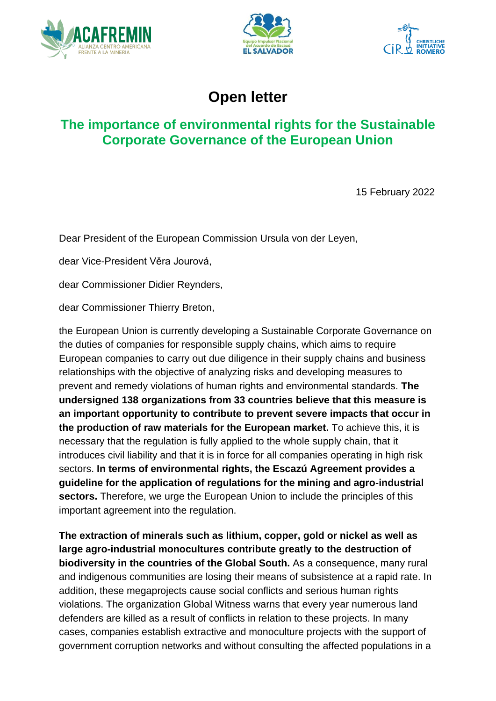





# **Open letter**

# **The importance of environmental rights for the Sustainable Corporate Governance of the European Union**

15 February 2022

Dear President of the European Commission Ursula von der Leyen,

dear Vice-President Věra Jourová,

dear Commissioner Didier Reynders,

dear Commissioner Thierry Breton,

the European Union is currently developing a Sustainable Corporate Governance on the duties of companies for responsible supply chains, which aims to require European companies to carry out due diligence in their supply chains and business relationships with the objective of analyzing risks and developing measures to prevent and remedy violations of human rights and environmental standards. **The undersigned 138 organizations from 33 countries believe that this measure is an important opportunity to contribute to prevent severe impacts that occur in the production of raw materials for the European market.** To achieve this, it is necessary that the regulation is fully applied to the whole supply chain, that it introduces civil liability and that it is in force for all companies operating in high risk sectors. **In terms of environmental rights, the Escazú Agreement provides a guideline for the application of regulations for the mining and agro-industrial sectors.** Therefore, we urge the European Union to include the principles of this important agreement into the regulation.

**The extraction of minerals such as lithium, copper, gold or nickel as well as large agro-industrial monocultures contribute greatly to the destruction of biodiversity in the countries of the Global South.** As a consequence, many rural and indigenous communities are losing their means of subsistence at a rapid rate. In addition, these megaprojects cause social conflicts and serious human rights violations. The organization Global Witness warns that every year numerous land defenders are killed as a result of conflicts in relation to these projects. In many cases, companies establish extractive and monoculture projects with the support of government corruption networks and without consulting the affected populations in a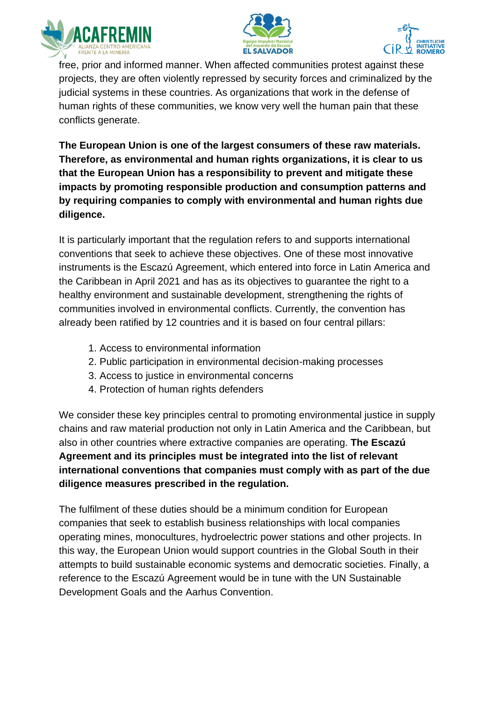





free, prior and informed manner. When affected communities protest against these projects, they are often violently repressed by security forces and criminalized by the judicial systems in these countries. As organizations that work in the defense of human rights of these communities, we know very well the human pain that these conflicts generate.

**The European Union is one of the largest consumers of these raw materials. Therefore, as environmental and human rights organizations, it is clear to us that the European Union has a responsibility to prevent and mitigate these impacts by promoting responsible production and consumption patterns and by requiring companies to comply with environmental and human rights due diligence.**

It is particularly important that the regulation refers to and supports international conventions that seek to achieve these objectives. One of these most innovative instruments is the Escazú Agreement, which entered into force in Latin America and the Caribbean in April 2021 and has as its objectives to guarantee the right to a healthy environment and sustainable development, strengthening the rights of communities involved in environmental conflicts. Currently, the convention has already been ratified by 12 countries and it is based on four central pillars:

- 1. Access to environmental information
- 2. Public participation in environmental decision-making processes
- 3. Access to justice in environmental concerns
- 4. Protection of human rights defenders

We consider these key principles central to promoting environmental justice in supply chains and raw material production not only in Latin America and the Caribbean, but also in other countries where extractive companies are operating. **The Escazú Agreement and its principles must be integrated into the list of relevant international conventions that companies must comply with as part of the due diligence measures prescribed in the regulation.**

The fulfilment of these duties should be a minimum condition for European companies that seek to establish business relationships with local companies operating mines, monocultures, hydroelectric power stations and other projects. In this way, the European Union would support countries in the Global South in their attempts to build sustainable economic systems and democratic societies. Finally, a reference to the Escazú Agreement would be in tune with the UN Sustainable Development Goals and the Aarhus Convention.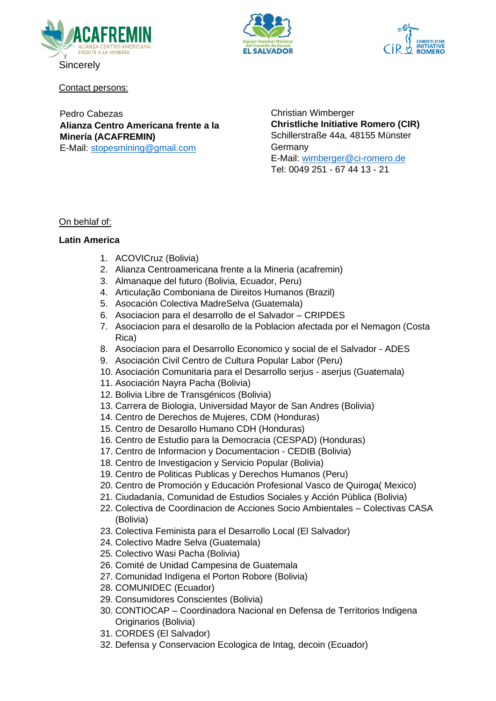





Contact persons:

Pedro Cabezas **Alianza Centro Americana frente a la Minería (ACAFREMIN)**  E-Mail: [stopesmining@gmail.com](mailto:stopesmining@gmail.com)

Christian Wimberger **Christliche Initiative Romero (CIR)** Schillerstraße 44a, 48155 Münster Germany E-Mail: [wimberger@ci-romero.de](mailto:wimberger@ci-romero.de) Tel: 0049 251 - 67 44 13 - 21

# On behlaf of:

# **Latin America**

- 1. ACOVICruz (Bolivia)
- 2. Alianza Centroamericana frente a la Mineria (acafremin)
- 3. Almanaque del futuro (Bolivia, Ecuador, Peru)
- 4. Articulação Comboniana de Direitos Humanos (Brazil)
- 5. Asocación Colectiva MadreSelva (Guatemala)
- 6. Asociacion para el desarrollo de el Salvador CRIPDES
- 7. Asociacion para el desarollo de la Poblacion afectada por el Nemagon (Costa Rica)
- 8. Asociacion para el Desarrollo Economico y social de el Salvador ADES
- 9. Asociación Civil Centro de Cultura Popular Labor (Peru)
- 10. Asociación Comunitaria para el Desarrollo serjus aserjus (Guatemala)
- 11. Asociación Nayra Pacha (Bolivia)
- 12. Bolivia Libre de Transgénicos (Bolivia)
- 13. Carrera de Biologia, Universidad Mayor de San Andres (Bolivia)
- 14. Centro de Derechos de Mujeres, CDM (Honduras)
- 15. Centro de Desarollo Humano CDH (Honduras)
- 16. Centro de Estudio para la Democracia (CESPAD) (Honduras)
- 17. Centro de Informacion y Documentacion CEDIB (Bolivia)
- 18. Centro de Investigacion y Servicio Popular (Bolivia)
- 19. Centro de Politicas Publicas y Derechos Humanos (Peru)
- 20. Centro de Promoción y Educación Profesional Vasco de Quiroga( Mexico)
- 21. Ciudadanía, Comunidad de Estudios Sociales y Acción Pública (Bolivia)
- 22. Colectiva de Coordinacion de Acciones Socio Ambientales Colectivas CASA (Bolivia)
- 23. Colectiva Feminista para el Desarrollo Local (El Salvador)
- 24. Colectivo Madre Selva (Guatemala)
- 25. Colectivo Wasi Pacha (Bolivia)
- 26. Comité de Unidad Campesina de Guatemala
- 27. Comunidad Indígena el Porton Robore (Bolivia)
- 28. COMUNIDEC (Ecuador)
- 29. Consumidores Conscientes (Bolivia)
- 30. CONTIOCAP Coordinadora Nacional en Defensa de Territorios Indigena Originarios (Bolivia)
- 31. CORDES (El Salvador)
- 32. Defensa y Conservacion Ecologica de Intag, decoin (Ecuador)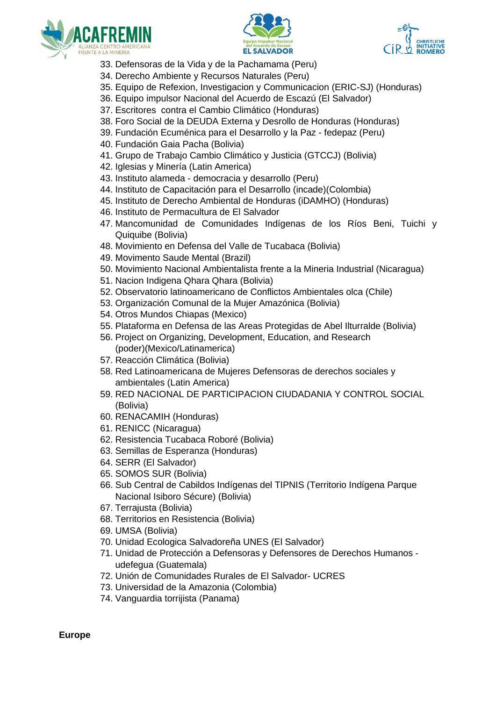





- 33. Defensoras de la Vida y de la Pachamama (Peru)
- 34. Derecho Ambiente y Recursos Naturales (Peru)
- 35. Equipo de Refexion, Investigacion y Communicacion (ERIC-SJ) (Honduras)
- 36. Equipo impulsor Nacional del Acuerdo de Escazú (El Salvador)
- 37. Escritores contra el Cambio Climático (Honduras)
- 38. Foro Social de la DEUDA Externa y Desrollo de Honduras (Honduras)
- 39. Fundación Ecuménica para el Desarrollo y la Paz fedepaz (Peru)
- 40. Fundación Gaia Pacha (Bolivia)
- 41. Grupo de Trabajo Cambio Climático y Justicia (GTCCJ) (Bolivia)
- 42. Iglesias y Minería (Latin America)
- 43. Instituto alameda democracia y desarrollo (Peru)
- 44. Instituto de Capacitación para el Desarrollo (incade)(Colombia)
- 45. Instituto de Derecho Ambiental de Honduras (iDAMHO) (Honduras)
- 46. Instituto de Permacultura de El Salvador
- 47. Mancomunidad de Comunidades Indígenas de los Ríos Beni, Tuichi y Quiquibe (Bolivia)
- 48. Movimiento en Defensa del Valle de Tucabaca (Bolivia)
- 49. Movimento Saude Mental (Brazil)
- 50. Movimiento Nacional Ambientalista frente a la Mineria Industrial (Nicaragua)
- 51. Nacion Indigena Qhara Qhara (Bolivia)
- 52. Observatorio latinoamericano de Conflictos Ambientales olca (Chile)
- 53. Organización Comunal de la Mujer Amazónica (Bolivia)
- 54. Otros Mundos Chiapas (Mexico)
- 55. Plataforma en Defensa de las Areas Protegidas de Abel Ilturralde (Bolivia)
- 56. Project on Organizing, Development, Education, and Research (poder)(Mexico/Latinamerica)
- 57. Reacción Climática (Bolivia)
- 58. Red Latinoamericana de Mujeres Defensoras de derechos sociales y ambientales (Latin America)
- 59. RED NACIONAL DE PARTICIPACION CIUDADANIA Y CONTROL SOCIAL (Bolivia)
- 60. RENACAMIH (Honduras)
- 61. RENICC (Nicaragua)
- 62. Resistencia Tucabaca Roboré (Bolivia)
- 63. Semillas de Esperanza (Honduras)
- 64. SERR (El Salvador)
- 65. SOMOS SUR (Bolivia)
- 66. Sub Central de Cabildos Indígenas del TIPNIS (Territorio Indígena Parque Nacional Isiboro Sécure) (Bolivia)
- 67. Terrajusta (Bolivia)
- 68. Territorios en Resistencia (Bolivia)
- 69. UMSA (Bolivia)
- 70. Unidad Ecologica Salvadoreña UNES (El Salvador)
- 71. Unidad de Protección a Defensoras y Defensores de Derechos Humanos udefegua (Guatemala)
- 72. Unión de Comunidades Rurales de El Salvador- UCRES
- 73. Universidad de la Amazonia (Colombia)
- 74. Vanguardia torrijista (Panama)

**Europe**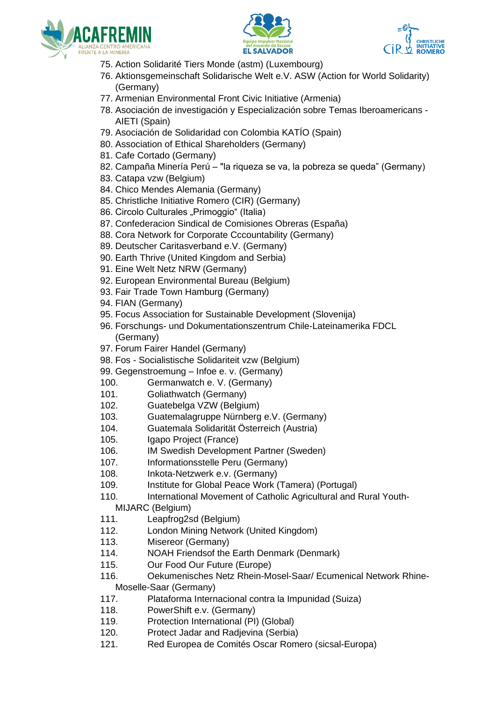





- 75. Action Solidarité Tiers Monde (astm) (Luxembourg)
- 76. Aktionsgemeinschaft Solidarische Welt e.V. ASW (Action for World Solidarity) (Germany)
- 77. Armenian Environmental Front Civic Initiative (Armenia)
- 78. Asociación de investigación y Especialización sobre Temas Iberoamericans AIETI (Spain)
- 79. Asociación de Solidaridad con Colombia KATÍO (Spain)
- 80. Association of Ethical Shareholders (Germany)
- 81. Cafe Cortado (Germany)
- 82. Campaña Minería Perú "la riqueza se va, la pobreza se queda" (Germany)
- 83. Catapa vzw (Belgium)
- 84. Chico Mendes Alemania (Germany)
- 85. Christliche Initiative Romero (CIR) (Germany)
- 86. Circolo Culturales "Primoggio" (Italia)
- 87. Confederacion Sindical de Comisiones Obreras (España)
- 88. Cora Network for Corporate Cccountability (Germany)
- 89. Deutscher Caritasverband e.V. (Germany)
- 90. Earth Thrive (United Kingdom and Serbia)
- 91. Eine Welt Netz NRW (Germany)
- 92. European Environmental Bureau (Belgium)
- 93. Fair Trade Town Hamburg (Germany)
- 94. FIAN (Germany)
- 95. Focus Association for Sustainable Development (Slovenija)
- 96. Forschungs- und Dokumentationszentrum Chile-Lateinamerika FDCL (Germany)
- 97. Forum Fairer Handel (Germany)
- 98. Fos Socialistische Solidariteit vzw (Belgium)
- 99. Gegenstroemung Infoe e. v. (Germany)
- 100. Germanwatch e. V. (Germany)
- 101. Goliathwatch (Germany)
- 102. Guatebelga VZW (Belgium)
- 103. Guatemalagruppe Nürnberg e.V. (Germany)
- 104. Guatemala Solidarität Österreich (Austria)
- 105. Igapo Project (France)
- 106. IM Swedish Development Partner (Sweden)
- 107. Informationsstelle Peru (Germany)
- 108. Inkota-Netzwerk e.v. (Germany)
- 109. Institute for Global Peace Work (Tamera) (Portugal)
- 110. International Movement of Catholic Agricultural and Rural Youth-
- MIJARC (Belgium)
- 111. Leapfrog2sd (Belgium)
- 112. London Mining Network (United Kingdom)
- 113. Misereor (Germany)
- 114. NOAH Friendsof the Earth Denmark (Denmark)
- 115. Our Food Our Future (Europe)
- 116. Oekumenisches Netz Rhein-Mosel-Saar/ Ecumenical Network Rhine-Moselle-Saar (Germany)
- 117. Plataforma Internacional contra la Impunidad (Suiza)
- 118. PowerShift e.v. (Germany)
- 119. Protection International (PI) (Global)
- 120. Protect Jadar and Radjevina (Serbia)
- 121. Red Europea de Comités Oscar Romero (sicsal-Europa)